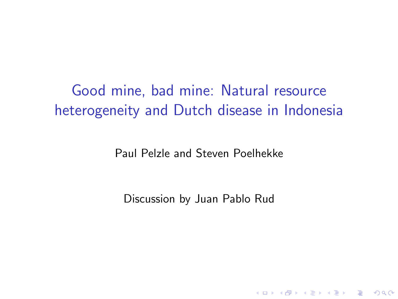<span id="page-0-0"></span>Good mine, bad mine: Natural resource heterogeneity and Dutch disease in Indonesia

Paul Pelzle and Steven Poelhekke

Discussion by Juan Pablo Rud

**K ロ ▶ K @ ▶ K 할 X X 할 X → 할 X → 9 Q Q ^**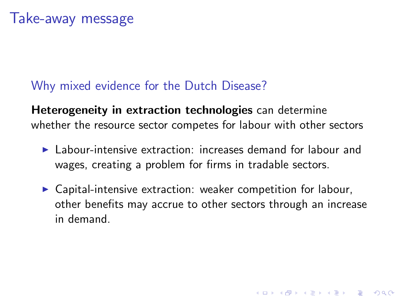#### <span id="page-1-0"></span>Why mixed evidence for the Dutch Disease?

Heterogeneity in extraction technologies can determine whether the resource sector competes for labour with other sectors

- $\blacktriangleright$  Labour-intensive extraction: increases demand for labour and wages, creating a problem for firms in tradable sectors.
- $\triangleright$  Capital-intensive extraction: weaker competition for labour, other benefits may accrue to other sectors through an increase in demand.

**K ロ ▶ K @ ▶ K 할 X X 할 X → 할 X → 9 Q Q ^**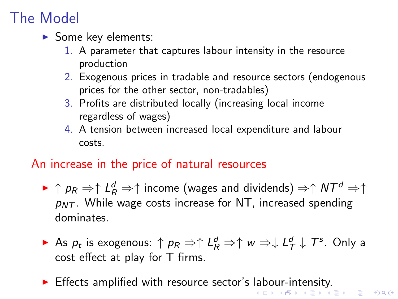# <span id="page-2-0"></span>The Model

- $\blacktriangleright$  Some key elements:
	- 1. A parameter that captures labour intensity in the resource production
	- 2. Exogenous prices in tradable and resource sectors (endogenous prices for the other sector, non-tradables)
	- 3. Profits are distributed locally (increasing local income regardless of wages)
	- 4. A tension between increased local expenditure and labour costs.

#### An increase in the price of natural resources

- $\blacktriangleright \uparrow p_R \Rightarrow \uparrow \mathit{L}^d_R \Rightarrow \uparrow$  income (wages and dividends)  $\Rightarrow \uparrow N T^d \Rightarrow \uparrow$  $p_{NT}$ . While wage costs increase for NT, increased spending dominates.
- ► As  $p_t$  is exogenous: ↑  $p_R \Rightarrow \uparrow L_R^d \Rightarrow \uparrow w \Rightarrow \downarrow L_T^d \downarrow T^s$ . Only a cost effect at play for T firms.
- **Iffects amplified with resource sector's [lab](#page-1-0)[o](#page-3-0)[ur](#page-1-0)[-i](#page-2-0)[nt](#page-3-0)[en](#page-0-0)[sit](#page-5-0)[y.](#page-0-0)**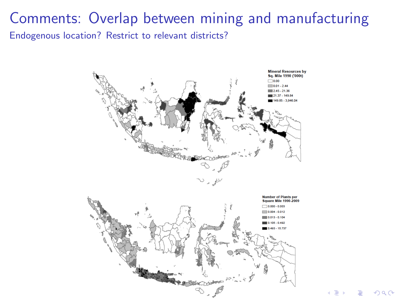### <span id="page-3-0"></span>Comments: Overlap between mining and manufacturing Endogenous location? Restrict to relevant districts?



 $290$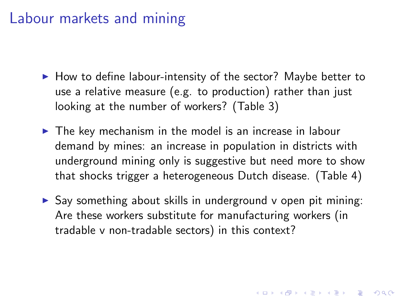## Labour markets and mining

- $\blacktriangleright$  How to define labour-intensity of the sector? Maybe better to use a relative measure (e.g. to production) rather than just looking at the number of workers? (Table 3)
- $\triangleright$  The key mechanism in the model is an increase in labour demand by mines: an increase in population in districts with underground mining only is suggestive but need more to show that shocks trigger a heterogeneous Dutch disease. (Table 4)
- $\triangleright$  Say something about skills in underground v open pit mining: Are these workers substitute for manufacturing workers (in tradable v non-tradable sectors) in this context?

**KORKAR KERKER E VOOR**